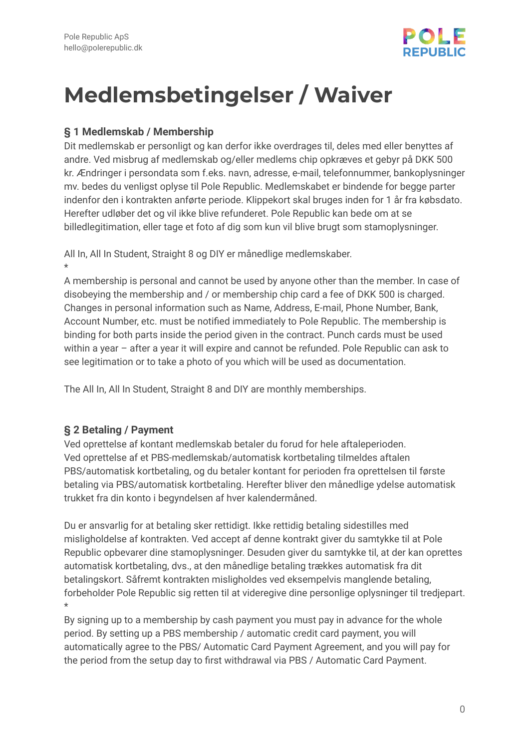

# **Medlemsbetingelser / Waiver**

#### **§ 1 Medlemskab / Membership**

Dit medlemskab er personligt og kan derfor ikke overdrages til, deles med eller benyttes af andre. Ved misbrug af medlemskab og/eller medlems chip opkræves et gebyr på DKK 500 kr. Ændringer i persondata som f.eks. navn, adresse, e-mail, telefonnummer, bankoplysninger mv. bedes du venligst oplyse til Pole Republic. Medlemskabet er bindende for begge parter indenfor den i kontrakten anførte periode. Klippekort skal bruges inden for 1 år fra købsdato. Herefter udløber det og vil ikke blive refunderet. Pole Republic kan bede om at se billedlegitimation, eller tage et foto af dig som kun vil blive brugt som stamoplysninger.

All In, All In Student, Straight 8 og DIY er månedlige medlemskaber. \*

A membership is personal and cannot be used by anyone other than the member. In case of disobeying the membership and / or membership chip card a fee of DKK 500 is charged. Changes in personal information such as Name, Address, E-mail, Phone Number, Bank, Account Number, etc. must be notified immediately to Pole Republic. The membership is binding for both parts inside the period given in the contract. Punch cards must be used within a year – after a year it will expire and cannot be refunded. Pole Republic can ask to see legitimation or to take a photo of you which will be used as documentation.

The All In, All In Student, Straight 8 and DIY are monthly memberships.

#### **§ 2 Betaling / Payment**

Ved oprettelse af kontant medlemskab betaler du forud for hele aftaleperioden. Ved oprettelse af et PBS-medlemskab/automatisk kortbetaling tilmeldes aftalen PBS/automatisk kortbetaling, og du betaler kontant for perioden fra oprettelsen til første betaling via PBS/automatisk kortbetaling. Herefter bliver den månedlige ydelse automatisk trukket fra din konto i begyndelsen af hver kalendermåned.

Du er ansvarlig for at betaling sker rettidigt. Ikke rettidig betaling sidestilles med misligholdelse af kontrakten. Ved accept af denne kontrakt giver du samtykke til at Pole Republic opbevarer dine stamoplysninger. Desuden giver du samtykke til, at der kan oprettes automatisk kortbetaling, dvs., at den månedlige betaling trækkes automatisk fra dit betalingskort. Såfremt kontrakten misligholdes ved eksempelvis manglende betaling, forbeholder Pole Republic sig retten til at videregive dine personlige oplysninger til tredjepart. \*

By signing up to a membership by cash payment you must pay in advance for the whole period. By setting up a PBS membership / automatic credit card payment, you will automatically agree to the PBS/ Automatic Card Payment Agreement, and you will pay for the period from the setup day to first withdrawal via PBS / Automatic Card Payment.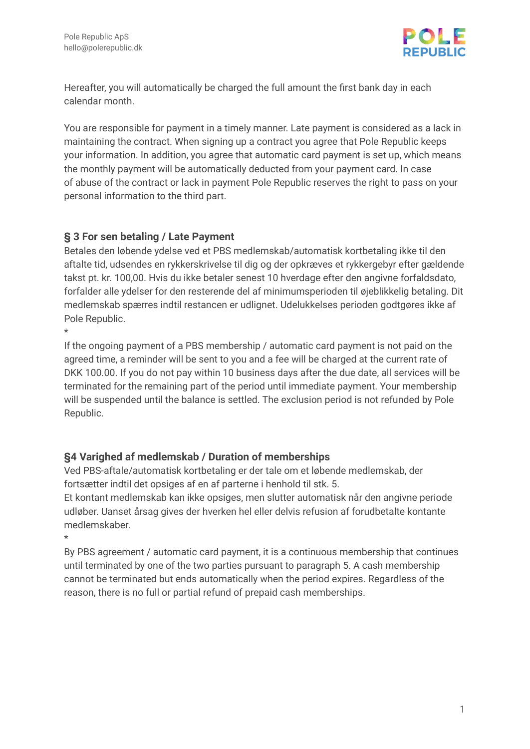

Hereafter, you will automatically be charged the full amount the first bank day in each calendar month.

You are responsible for payment in a timely manner. Late payment is considered as a lack in maintaining the contract. When signing up a contract you agree that Pole Republic keeps your information. In addition, you agree that automatic card payment is set up, which means the monthly payment will be automatically deducted from your payment card. In case of abuse of the contract or lack in payment Pole Republic reserves the right to pass on your personal information to the third part.

#### **§ 3 For sen betaling / Late Payment**

Betales den løbende ydelse ved et PBS medlemskab/automatisk kortbetaling ikke til den aftalte tid, udsendes en rykkerskrivelse til dig og der opkræves et rykkergebyr efter gældende takst pt. kr. 100,00. Hvis du ikke betaler senest 10 hverdage efter den angivne forfaldsdato, forfalder alle ydelser for den resterende del af minimumsperioden til øjeblikkelig betaling. Dit medlemskab spærres indtil restancen er udlignet. Udelukkelses perioden godtgøres ikke af Pole Republic.

\*

If the ongoing payment of a PBS membership / automatic card payment is not paid on the agreed time, a reminder will be sent to you and a fee will be charged at the current rate of DKK 100.00. If you do not pay within 10 business days after the due date, all services will be terminated for the remaining part of the period until immediate payment. Your membership will be suspended until the balance is settled. The exclusion period is not refunded by Pole Republic.

#### **§4 Varighed af medlemskab / Duration of memberships**

Ved PBS-aftale/automatisk kortbetaling er der tale om et løbende medlemskab, der fortsætter indtil det opsiges af en af parterne i henhold til stk. 5.

Et kontant medlemskab kan ikke opsiges, men slutter automatisk når den angivne periode udløber. Uanset årsag gives der hverken hel eller delvis refusion af forudbetalte kontante medlemskaber.

\*

By PBS agreement / automatic card payment, it is a continuous membership that continues until terminated by one of the two parties pursuant to paragraph 5. A cash membership cannot be terminated but ends automatically when the period expires. Regardless of the reason, there is no full or partial refund of prepaid cash memberships.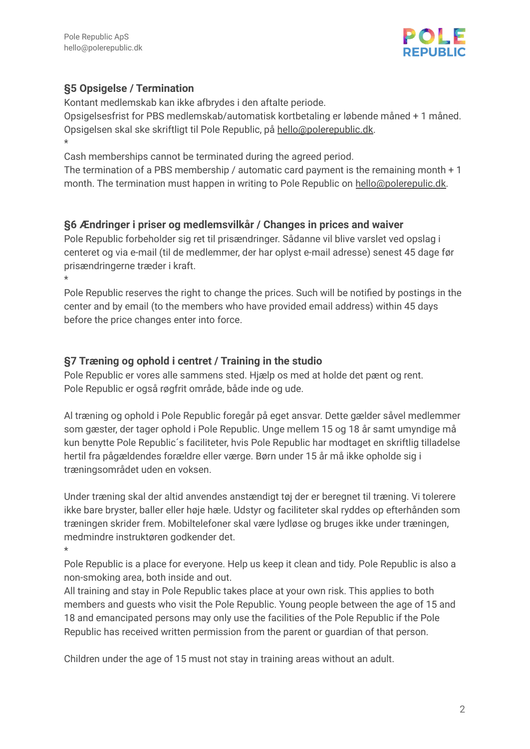

## **§5 Opsigelse / Termination**

Kontant medlemskab kan ikke afbrydes i den aftalte periode.

Opsigelsesfrist for PBS medlemskab/automatisk kortbetaling er løbende måned + 1 måned. Opsigelsen skal ske skriftligt til Pole Republic, på [hello@polerepublic.dk.](mailto:hello@polerepublic.dk) \*

Cash memberships cannot be terminated during the agreed period.

The termination of a PBS membership / automatic card payment is the remaining month + 1 month. The termination must happen in writing to Pole Republic on [hello@polerepulic.dk.](mailto:hello@polerepulic.dk)

# **§6 Ændringer i priser og medlemsvilkår / Changes in prices and waiver**

Pole Republic forbeholder sig ret til prisændringer. Sådanne vil blive varslet ved opslag i centeret og via e-mail (til de medlemmer, der har oplyst e-mail adresse) senest 45 dage før prisændringerne træder i kraft.

\*

\*

Pole Republic reserves the right to change the prices. Such will be notified by postings in the center and by email (to the members who have provided email address) within 45 days before the price changes enter into force.

#### **§7 Træning og ophold i centret / Training in the studio**

Pole Republic er vores alle sammens sted. Hjælp os med at holde det pænt og rent. Pole Republic er også røgfrit område, både inde og ude.

Al træning og ophold i Pole Republic foregår på eget ansvar. Dette gælder såvel medlemmer som gæster, der tager ophold i Pole Republic. Unge mellem 15 og 18 år samt umyndige må kun benytte Pole Republic´s faciliteter, hvis Pole Republic har modtaget en skriftlig tilladelse hertil fra pågældendes forældre eller værge. Børn under 15 år må ikke opholde sig i træningsområdet uden en voksen.

Under træning skal der altid anvendes anstændigt tøj der er beregnet til træning. Vi tolerere ikke bare bryster, baller eller høje hæle. Udstyr og faciliteter skal ryddes op efterhånden som træningen skrider frem. Mobiltelefoner skal være lydløse og bruges ikke under træningen, medmindre instruktøren godkender det.

Pole Republic is a place for everyone. Help us keep it clean and tidy. Pole Republic is also a non-smoking area, both inside and out.

All training and stay in Pole Republic takes place at your own risk. This applies to both members and guests who visit the Pole Republic. Young people between the age of 15 and 18 and emancipated persons may only use the facilities of the Pole Republic if the Pole Republic has received written permission from the parent or guardian of that person.

Children under the age of 15 must not stay in training areas without an adult.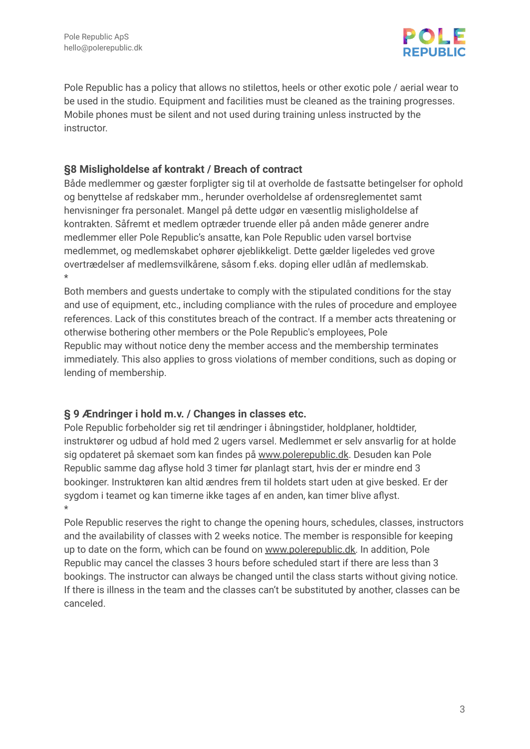

Pole Republic has a policy that allows no stilettos, heels or other exotic pole / aerial wear to be used in the studio. Equipment and facilities must be cleaned as the training progresses. Mobile phones must be silent and not used during training unless instructed by the instructor.

#### **§8 Misligholdelse af kontrakt / Breach of contract**

Både medlemmer og gæster forpligter sig til at overholde de fastsatte betingelser for ophold og benyttelse af redskaber mm., herunder overholdelse af ordensreglementet samt henvisninger fra personalet. Mangel på dette udgør en væsentlig misligholdelse af kontrakten. Såfremt et medlem optræder truende eller på anden måde generer andre medlemmer eller Pole Republic's ansatte, kan Pole Republic uden varsel bortvise medlemmet, og medlemskabet ophører øjeblikkeligt. Dette gælder ligeledes ved grove overtrædelser af medlemsvilkårene, såsom f.eks. doping eller udlån af medlemskab. \*

Both members and guests undertake to comply with the stipulated conditions for the stay and use of equipment, etc., including compliance with the rules of procedure and employee references. Lack of this constitutes breach of the contract. If a member acts threatening or otherwise bothering other members or the Pole Republic's employees, Pole Republic may without notice deny the member access and the membership terminates immediately. This also applies to gross violations of member conditions, such as doping or lending of membership.

#### **§ 9 Ændringer i hold m.v. / Changes in classes etc.**

Pole Republic forbeholder sig ret til ændringer i åbningstider, holdplaner, holdtider, instruktører og udbud af hold med 2 ugers varsel. Medlemmet er selv ansvarlig for at holde sig opdateret på skemaet som kan findes på [www.polerepublic.dk](http://www.polerepublic.dk). Desuden kan Pole Republic samme dag aflyse hold 3 timer før planlagt start, hvis der er mindre end 3 bookinger. Instruktøren kan altid ændres frem til holdets start uden at give besked. Er der sygdom i teamet og kan timerne ikke tages af en anden, kan timer blive aflyst. \*

Pole Republic reserves the right to change the opening hours, schedules, classes, instructors and the availability of classes with 2 weeks notice. The member is responsible for keeping up to date on the form, which can be found on [www.polerepublic.dk.](http://www.polerepublic.dk) In addition, Pole Republic may cancel the classes 3 hours before scheduled start if there are less than 3 bookings. The instructor can always be changed until the class starts without giving notice. If there is illness in the team and the classes can't be substituted by another, classes can be canceled.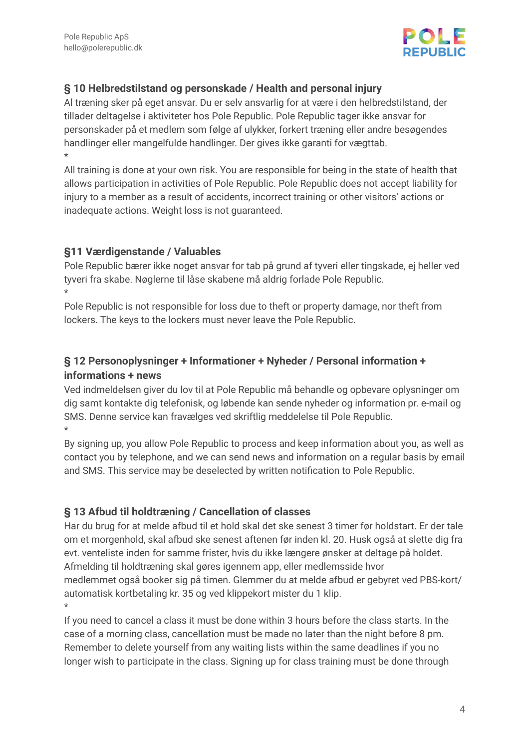

#### **§ 10 Helbredstilstand og personskade / Health and personal injury**

Al træning sker på eget ansvar. Du er selv ansvarlig for at være i den helbredstilstand, der tillader deltagelse i aktiviteter hos Pole Republic. Pole Republic tager ikke ansvar for personskader på et medlem som følge af ulykker, forkert træning eller andre besøgendes handlinger eller mangelfulde handlinger. Der gives ikke garanti for vægttab. \*

All training is done at your own risk. You are responsible for being in the state of health that allows participation in activities of Pole Republic. Pole Republic does not accept liability for injury to a member as a result of accidents, incorrect training or other visitors' actions or inadequate actions. Weight loss is not guaranteed.

#### **§11 Værdigenstande / Valuables**

Pole Republic bærer ikke noget ansvar for tab på grund af tyveri eller tingskade, ej heller ved tyveri fra skabe. Nøglerne til låse skabene må aldrig forlade Pole Republic. \*

Pole Republic is not responsible for loss due to theft or property damage, nor theft from lockers. The keys to the lockers must never leave the Pole Republic.

# **§ 12 Personoplysninger + Informationer + Nyheder / Personal information + informations + news**

Ved indmeldelsen giver du lov til at Pole Republic må behandle og opbevare oplysninger om dig samt kontakte dig telefonisk, og løbende kan sende nyheder og information pr. e-mail og SMS. Denne service kan fravælges ved skriftlig meddelelse til Pole Republic. \*

By signing up, you allow Pole Republic to process and keep information about you, as well as contact you by telephone, and we can send news and information on a regular basis by email and SMS. This service may be deselected by written notification to Pole Republic.

#### **§ 13 Afbud til holdtræning / Cancellation of classes**

Har du brug for at melde afbud til et hold skal det ske senest 3 timer før holdstart. Er der tale om et morgenhold, skal afbud ske senest aftenen før inden kl. 20. Husk også at slette dig fra evt. venteliste inden for samme frister, hvis du ikke længere ønsker at deltage på holdet. Afmelding til holdtræning skal gøres igennem app, eller medlemsside hvor medlemmet også booker sig på timen. Glemmer du at melde afbud er gebyret ved PBS-kort/ automatisk kortbetaling kr. 35 og ved klippekort mister du 1 klip. \*

If you need to cancel a class it must be done within 3 hours before the class starts. In the case of a morning class, cancellation must be made no later than the night before 8 pm. Remember to delete yourself from any waiting lists within the same deadlines if you no longer wish to participate in the class. Signing up for class training must be done through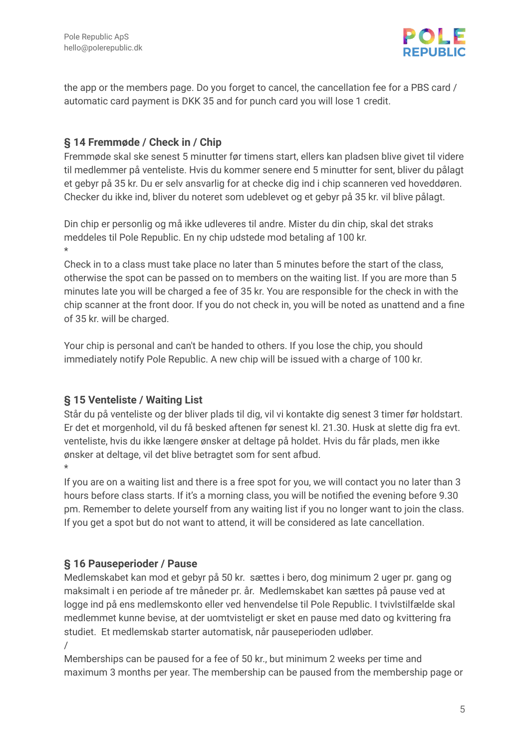

the app or the members page. Do you forget to cancel, the cancellation fee for a PBS card / automatic card payment is DKK 35 and for punch card you will lose 1 credit.

## **§ 14 Fremmøde / Check in / Chip**

Fremmøde skal ske senest 5 minutter før timens start, ellers kan pladsen blive givet til videre til medlemmer på venteliste. Hvis du kommer senere end 5 minutter for sent, bliver du pålagt et gebyr på 35 kr. Du er selv ansvarlig for at checke dig ind i chip scanneren ved hoveddøren. Checker du ikke ind, bliver du noteret som udeblevet og et gebyr på 35 kr. vil blive pålagt.

Din chip er personlig og må ikke udleveres til andre. Mister du din chip, skal det straks meddeles til Pole Republic. En ny chip udstede mod betaling af 100 kr. \*

Check in to a class must take place no later than 5 minutes before the start of the class, otherwise the spot can be passed on to members on the waiting list. If you are more than 5 minutes late you will be charged a fee of 35 kr. You are responsible for the check in with the chip scanner at the front door. If you do not check in, you will be noted as unattend and a fine of 35 kr. will be charged.

Your chip is personal and can't be handed to others. If you lose the chip, you should immediately notify Pole Republic. A new chip will be issued with a charge of 100 kr.

#### **§ 15 Venteliste / Waiting List**

Står du på venteliste og der bliver plads til dig, vil vi kontakte dig senest 3 timer før holdstart. Er det et morgenhold, vil du få besked aftenen før senest kl. 21.30. Husk at slette dig fra evt. venteliste, hvis du ikke længere ønsker at deltage på holdet. Hvis du får plads, men ikke ønsker at deltage, vil det blive betragtet som for sent afbud. \*

If you are on a waiting list and there is a free spot for you, we will contact you no later than 3 hours before class starts. If it's a morning class, you will be notified the evening before 9.30 pm. Remember to delete yourself from any waiting list if you no longer want to join the class. If you get a spot but do not want to attend, it will be considered as late cancellation.

#### **§ 16 Pauseperioder / Pause**

Medlemskabet kan mod et gebyr på 50 kr. sættes i bero, dog minimum 2 uger pr. gang og maksimalt i en periode af tre måneder pr. år. Medlemskabet kan sættes på pause ved at logge ind på ens medlemskonto eller ved henvendelse til Pole Republic. I tvivlstilfælde skal medlemmet kunne bevise, at der uomtvisteligt er sket en pause med dato og kvittering fra studiet. Et medlemskab starter automatisk, når pauseperioden udløber. /

Memberships can be paused for a fee of 50 kr., but minimum 2 weeks per time and maximum 3 months per year. The membership can be paused from the membership page or